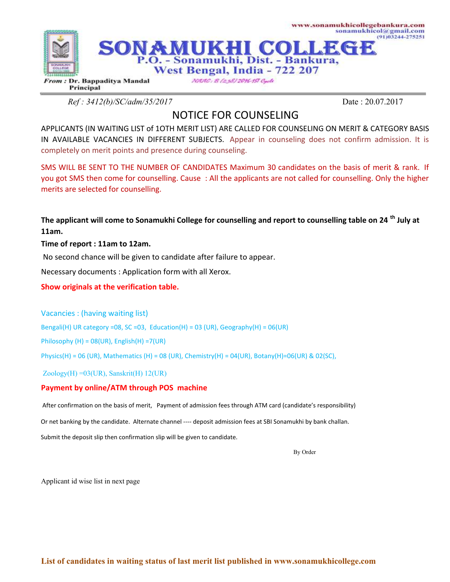

*Ref : 3412(b)/SC/adm/35/2017* Date : 20.07.2017

## NOTICE FOR COUNSELING

APPLICANTS (IN WAITING LIST of 1OTH MERIT LIST) ARE CALLED FOR COUNSELING ON MERIT & CATEGORY BASIS IN AVAILABLE VACANCIES IN DIFFERENT SUBJECTS. Appear in counseling does not confirm admission. It is completely on merit points and presence during counseling.

SMS WILL BE SENT TO THE NUMBER OF CANDIDATES Maximum 30 candidates on the basis of merit & rank. If you got SMS then come for counselling. Cause : All the applicants are not called for counselling. Only the higher merits are selected for counselling.

**The applicant will come to Sonamukhi College for counselling and report to counselling table on 24 th July at 11am.**

## **Time of report : 11am to 12am.**

No second chance will be given to candidate after failure to appear.

Necessary documents : Application form with all Xerox.

**Show originals at the verification table.**

Vacancies : (having waiting list)

Bengali(H) UR category =08, SC =03, Education(H) = 03 (UR), Geography(H) =  $06$ (UR)

Philosophy (H) = 08(UR), English(H) =7(UR)

Physics(H) = 06 (UR), Mathematics (H) = 08 (UR), Chemistry(H) = 04(UR), Botany(H)=06(UR) & 02(SC),

Zoology(H) =03(UR), Sanskrit(H) 12(UR)

## **Payment by online/ATM through POS machine**

After confirmation on the basis of merit, Payment of admission fees through ATM card (candidate's responsibility)

Or net banking by the candidate. Alternate channel ---- deposit admission fees at SBI Sonamukhi by bank challan.

Submit the deposit slip then confirmation slip will be given to candidate.

By Order

Applicant id wise list in next page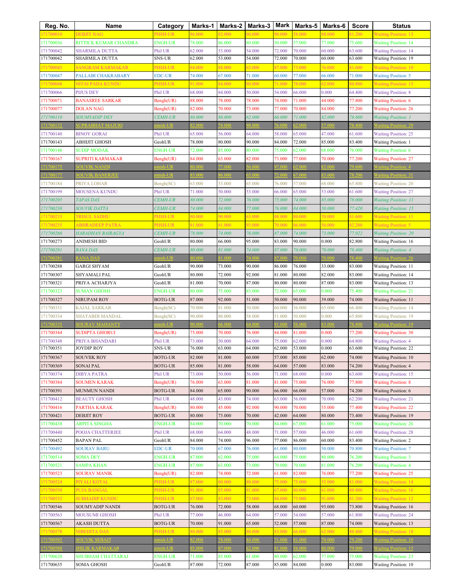| Reg. No.               | Name                                | Category                    | Marks-1          | Marks-2          | Marks-3          | Mark             | Marks-5          | Marks-6          | <b>Score</b>     | <b>Status</b>                                              |
|------------------------|-------------------------------------|-----------------------------|------------------|------------------|------------------|------------------|------------------|------------------|------------------|------------------------------------------------------------|
| 71700010               | <b>DEBJIT NAG</b>                   | PHSH-UR                     | 86.000           | 82.000           | 50.000           | 90.000           | 58.000           | 38.000           | 31.200           | <b>Waiting Position: 13</b>                                |
| 171700036              | RITTICK KUMAR CHANDRA               | <b>ENGH-UR</b>              | 78.000           | 86.000           | 80.000           | 50.000           | 57.000           | 77.000           | 75.600           | <b>Waiting Position: 14</b>                                |
| 171700042              | <b>SHARMILA DUTTA</b>               | Phil UR                     | 62.000           | 53.000           | 54.000           | 72.000           | 70.000           | 60.000           | 63.600           | <b>Waiting Position: 14</b>                                |
| 171700042              | SHARMILA DUTTA                      | <b>SNS-UR</b>               | 62.000           | 53.000           | 54.000           | 72.000           | 70.000           | 60.000           | 63.600           | <b>Waiting Position: 19</b>                                |
| 171700045              | <b>SANGRAM KARMAKAR</b>             | PHSH-UR                     | 84.000           | 88.000           | 63.000           | 87.000           | 73.000           | 76.000           | 81.600           | <b>Waiting Position: 10</b>                                |
| 171700047              | PALLABI CHAKRABARY                  | <b>EDC-UR</b>               | 74.000           | 67.000           | 71.000           | 60.000           | 77.000           | 66.000           | 71.000           | <b>Waiting Position: 5</b>                                 |
| 71700048               | NITAI PADA KUNDU                    | PHSH-UR                     | 91.000           | 84.000           | 80.000           | 71.000           | 78.000           | 62.000           | 80.800           | <b>Waiting Position: 15</b>                                |
| 171700066              | <b>PIJUS DEY</b>                    | Phil UR                     | 68.000           | 84.000           | 50.000           | 54.000           | 66.000           | 0.000            | 64.400           | <b>Waiting Position: 8</b>                                 |
| 171700071              | <b>BANASREE SARKAR</b>              | Bengh(UR)                   | 88.000           | 78.000           | 78.000           | 74.000           | 71.000           | 44.000           | 77.800           | <b>Waiting Position: 6</b>                                 |
| 171700077              | <b>DOLAN NAG</b>                    | Bengh(UR)                   | 82.000           | 70.000           | 73.000           | 77.000           | 70.000           | 84.000           | 77.200           | <b>Waiting Position: 26</b>                                |
| 171700110              | SOUMYADIP DEY                       | <b>CEMH-UR</b>              | 86.000           | 88.000           | 62.000           | 66.000           | 71.000           | 82.000           | 78.600           | <b>Waiting Position: 1</b>                                 |
| 71700132               | <b>UPRABHAT MAJURI</b>              | tmh-UR                      | 32.000           | 74.000           | 8.000            | 5.00             | 2.000            | 7.000            | 78.400           | Vaiting Position: 29                                       |
| 171700140              | <b>BINOY GORAI</b>                  | Phil UR                     | 65.000           | 56.000           | 64.000           | 58.000           | 65.000           | 47.000           | 61.600           | <b>Waiting Position: 25</b>                                |
| 171700143              | ABHIJIT GHOSH                       | GeohUR                      | 78.000           | 80.000           | 90.000           | 84.000           | 72.000           | 85.000           | 83.400           | <b>Waiting Position: 1</b>                                 |
| 171700146              | <b>SUDIP MODAK</b>                  | <b>ENGH-UR</b>              | 72.000           | 85.000           | 80.000           | 75.000           | 62.000           | 68.000           | 76.000           | <b>Waiting Position: 6</b>                                 |
| 171700167              | SUPRITI KARMAKAR                    | Bengh(UR)                   | 84.000           | 63.000           | 82.000           | 73.000           | 77.000           | 70.000           | 77.200           | <b>Waiting Position: 27</b>                                |
| 71700175               | <b>SOUVIK NANDI</b>                 | tmh-UR<br>$tmh$ -I IR       | 000.08           | 77.000           | 6.000            | 7000             | 2.000<br>7.000   | 2.000            | 79.600           | <b>Waiting Position: 4</b>                                 |
| 71700177<br>171700184  | <b>OUVIK BANERJE</b><br>PRIYA LOHAR |                             | 3.000<br>63.000  | 6.000            | 5.000            |                  | 57.000           | 3.000<br>68.000  | 78.200           | Vaiting Position: 31                                       |
| 171700199              | MOUSENA KUNDU                       | Bengh(SC)<br>Phil UR        | 71.000           | 53.000<br>50.000 | 65.000<br>53.000 | 76.000<br>66.000 | 65.000           | 53.000           | 65.800<br>61.600 | <b>Waiting Position: 20</b>                                |
| 171700205              | <b>TAPAS DAS</b>                    | <b>CEMH-UR</b>              | 80.000           | 72.000           | 76.000           | 75.000           | 74.000           | 85.000           | 78.000           | <b>Waiting Position: 27</b><br><b>Waiting Position: 11</b> |
| 171700230              | <b>SOUVIK DATTA</b>                 | <b>CEMH-UR</b>              | 74.000           | 84.000           | 77.000           | 76.000           | 84.000           | 50.000           | 77.420           | <b>Waiting Position: 15</b>                                |
| 171700233              | <b>TRISUL SADHU</b>                 | PHSH-UR                     | 80.000           | 90.000           | 63.000           | 88.000           | 30.000           | 70.000           | 81.600           | <b>Waiting Position: 11</b>                                |
| 171700235              | <b>ABHRADEEP PATRA</b>              | PHSH-UR                     | 81.000           | 81.000           | 93.000           | 70.000           | 86.000           | 56.000           | 82.200           | <b>Waiting Position: 5</b>                                 |
| 171700266              | HARADHAN BAIRAGYA                   | <b>CEMH-UR</b>              | 78.000           | 74.000           | 76.000           | 87.000           | 74.000           | 73.000           | 77.022           | <b>Waiting Position: 20</b>                                |
| 171700273              | ANIMESH BID                         | GeohUR                      | 80.000           | 66.000           | 95.000           | 83.000           | 90.000           | 0.000            | 82.800           | Waiting Position: 16                                       |
| 171700281              | <i>RANA DAS</i>                     | <b>CEMH-UR</b>              | 80.000           | 81.000           | 74.000           | 87.000           | 70.000           | 70.000           | 78.400           | <b>Waiting Position: 4</b>                                 |
| 71700281               | <b>ANA DAS</b>                      | $tmh$ -UR                   |                  | 1.000            | 4.000            |                  | 0.000            |                  | 78.400           |                                                            |
| 171700288              | GARGI SHYAM                         | GeohUR                      | 90.000           | 73.000           | 90.000           | 86.000           | 76.000           | 33.000           | 83.000           | Waiting Position: 11                                       |
| 171700307              | SHYAMALI PAL                        | GeohUR                      | 80.000           | 72.000           | 92.000           | 81.000           | 80.000           | 82.000           | 83.000           | Waiting Position: 14                                       |
| 171700321              | PRIYA ACHARJYA                      | GeohUR                      | 81.000           | 70.000           | 87.000           | 80.000           | 80.000           | 87.000           | 83.000           | <b>Waiting Position: 13</b>                                |
| 171700323              | <b>SUMAN GHOSH</b>                  | <b>ENGH-UR</b>              | 80.000           | 75.000           | 85.000           | 72.000           | 65.000           | 0.000            | 75.400           | <b>Waiting Position: 21</b>                                |
| 171700327              | NIRUPAM ROY                         | <b>BOTG-UR</b>              | 87.000           | 92.000           | 51.000           | 50.000           | 90.000           | 39.000           | 74.000           | Waiting Position: 11                                       |
| 171700331              | KAJAL SARKAR                        | Bengh(SC)                   | 70.000           | 81.000           | 50.000           | 60.000           | 56.000           | 65.000           | 66.400           | <b>Waiting Position: 14</b>                                |
| 171700334              | SHATABDI MANDAL                     | Bengh(SC)                   | 90.000           | 80.000           | 58.000           | 51.000           | 50.000           | 0.000            | 65.800           | <b>Waiting Position: 19</b>                                |
| 71700335               | <b>OURAV MAHANTY</b>                |                             | 0.000            | 6.000            | 4.000            |                  | 6.000            |                  | 8.800            | <b>Vaiting Position: 19</b>                                |
| 171700344              | SUDIPTA GHORUI                      | Bengh(UR)                   | 75.000           | 70.000           | 76.000           | 84.000           | 81.000           | 0.000            | 77.200           | <b>Waiting Position: 30</b>                                |
| 171700348              | PRIYA BHANDARI                      | Phil UR                     | 73.000           | 50.000           | 64.000           | 75.000           | 62.000           | 0.000            | 64.800           | <b>Waiting Position: 4</b>                                 |
| 171700351              | <b>JOYDIP ROY</b>                   | <b>SNS-UR</b>               | 76.000           | 63.000           | 64.000           | 62.000           | 53.000           | 0.000            | 63.600           | Waiting Position: 22                                       |
| 171700367              | <b>SOUVIIK ROY</b>                  | <b>BOTG-UR</b>              | 82.000           | 81.000           | 60.000           | 57.000           | 85.000           | 62.000           | 74.000           | <b>Waiting Position: 10</b>                                |
| 171700369              | SONAI PAL                           | <b>BOTG-UR</b>              | 85.000           | 81.000           | 58.000           | 64.000           | 57.000           | 83.000           | 74.200           | <b>Waiting Position: 4</b>                                 |
| 171700374              | <b>DIBYA PATRA</b>                  | Phil UR                     | 73.000           | 50.000           | 56.000           | 71.000           | 68.000           | 0.000            | 63.600           | <b>Waiting Position: 15</b>                                |
| 171700384<br>171700391 | SOUMEN KARAK<br><b>MUNMUN NANDI</b> | Bengh(UR)<br><b>BOTG-UR</b> | 76.000<br>84.000 | 63.000<br>65.000 | 81.000<br>90.000 | 81.000<br>66.000 | 75.000<br>66.000 | 76.000<br>57.000 | 77.800<br>74.200 | <b>Waiting Position: 8</b>                                 |
| 171700412              | <b>BEAUTY GHOSH</b>                 | Phil UR                     | 48.000           | 43.000           | 74.000           | 63.000           | 56.000           | 70.000           | 62.200           | <b>Waiting Position: 6</b><br><b>Waiting Position: 21</b>  |
| 171700416              | PARTHA KARAK                        | Bengh(UR)                   | 80.000           | 45.000           | 92.000           | 90.000           | 70.000           | 55.000           | 77.400           | <b>Waiting Position: 22</b>                                |
| 171700421              | <b>DEBJIT ROY</b>                   | <b>BOTG-UR</b>              | 80.000           | 73.000           | 70.000           | 42.000           | 64.000           | 80.000           | 73.400           | <b>Waiting Position: 19</b>                                |
| 171700438              | <b>ARPITA SINGHA</b>                | <b>ENGH-UR</b>              | 84.000           | 70.000           | 70.000           | 84.000           | 67.000           | 61.000           | 75.000           | <b>Waiting Position: 26</b>                                |
| 171700440              | POOJA CHATTERJEE                    | Phil UR                     | 68.000           | 64.000           | 48.000           | 71.000           | 57.000           | 46.000           | 61.600           | <b>Waiting Position: 28</b>                                |
| 171700452              | <b>BAPAN PAL</b>                    | GeohUR                      | 84.000           | 74.000           | 96.000           | 77.000           | 86.000           | 60.000           | 83.400           | <b>Waiting Position: 2</b>                                 |
| 171700492              | <b>SOURAV BARU</b>                  | <b>EDC-UR</b>               | 70.000           | 67.000           | 76.000           | 61.000           | 80.000           | 50.000           | 70.800           | <b>Waiting Position: 7</b>                                 |
| 171700514              | <b>SOMA DEY</b>                     | <b>ENGH-UR</b>              | 87.000           | 62.000           | 75.000           | 64.000           | 75.000           | 80.000           | 76.200           | <b>Waiting Position: 3</b>                                 |
| 171700521              | SAMPA KHAN                          | <b>ENGH-UR</b>              | 87.000           | 63.000           | 73.000           | 70.000           | 70.000           | 81.000           | 76.200           | <b>Waiting Position: 4</b>                                 |
| 171700523              | <b>SOURAV MANIK</b>                 | Bengh(UR)                   | 82.000           | 74.000           | 72.000           | 61.000           | 82.000           | 76.000           | 77.200           | <b>Waiting Position: 25</b>                                |
| 171700524              | PIYALI KOTAL                        | PHSH-UR                     | 87.000           | 80.000           | 88.000           | 75.000           | 75.000           | 55.000           | 81.000           | <b>Waiting Position: 14</b>                                |
| 171700530              | <b>PUJA BANGAL</b>                  | PHSH-UR                     | 91.000           | 85.000           | 81.000           | 67.000           | 30.000           | 61.000           | 80.800           | <b>Waiting Position: 16</b>                                |
| 71700532               | <b>SUBHADIP KUNDU</b>               | PHSH-UR                     | 67.000           | 83.000           | 73.000           | 84.000           | 75.000           | 91.000           | 81.200           | <b>Waiting Position: 12</b>                                |
| 171700546              | SOUMYADIP NANDI                     | <b>BOTG-UR</b>              | 76.000           | 72.000           | 58.000           | 68.000           | 60.000           | 93.000           | 73.800           | <b>Waiting Position: 16</b>                                |
| 171700563              | MOUSUMI GHOSH                       | Phil UR                     | 77.000           | 46.000           | 64.000           | 57.000           | 54.000           | 57.000           | 61.800           | <b>Waiting Position: 24</b>                                |
| 171700567              | AKASH DUTTA                         | <b>BOTG-UR</b>              | 70.000           | 91.000           | 65.000           | 52.000           | 57.000           | 87.000           | 74.000           | <b>Waiting Position: 13</b>                                |
| 71700578               | <b>NIBEDITA DAS</b>                 | PHSH-UR                     | 80.000           | 85.000           | 88.000           | 33.000           | 6.000            | 52.000           | 80.400           | <b>Waiting Position: 18</b>                                |
| 71700585               | <b>OUVIK SEBAIT</b>                 | $tmh-UR$                    | 32.000           | 78.000           | 4.000            | 1.000            | 1.000            | 70.000           | 79.200           | <b>Vaiting Position: 10</b>                                |
| 171700588              | <b>HILIK KARMAKAR</b>               | ntmh-UR                     | 35.000           | 87.000           | <b>62.000</b>    | 1.000            | 6.000            | 0.000            | 79.000           | Vaiting Position: 15                                       |
| 171700620              | SHUBHAM CHATTARAJ                   | <b>ENGH-UR</b>              | 71.000           | 85.000           | 61.000           | 80.000           | 62.000           | 77.000           | 75.000           | <b>Waiting Position: 23</b>                                |
| 171700635              | SOMA GHOSH                          | GeohUR                      | 87.000           | 72.000           | 87.000           | 85.000           | 84.000           | 0.000            | 83.000           | <b>Waiting Position: 10</b>                                |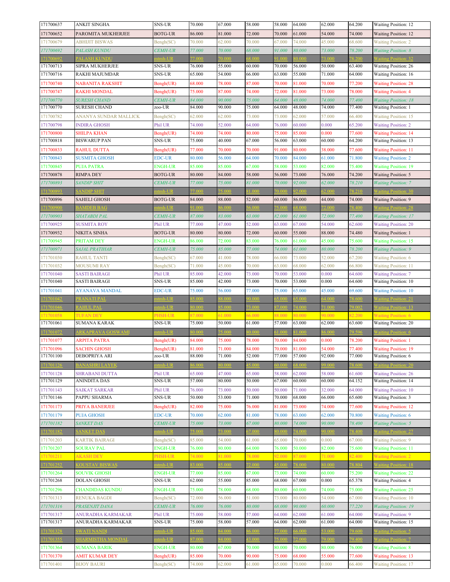| 171700637              | <b>ANKIT SINGHA</b>                         | SNS-UR                      | 70.000           | 67.000           | 58.000           | 58.000           | 64.000           | 62.000           | 64.200           | Waiting Position: 12                                       |
|------------------------|---------------------------------------------|-----------------------------|------------------|------------------|------------------|------------------|------------------|------------------|------------------|------------------------------------------------------------|
| 171700652              | PAROMITA MUKHERJEE                          | BOTG-UR                     | 86.000           | 81.000           | 72.000           | 70.000           | 61.000           | 54.000           | 74.000           | <b>Waiting Position: 12</b>                                |
| 171700679              | <b>ABHIJIT BISWAS</b>                       | Bengh(SC)                   | 70.000           | 62.000           | 70.000           | 67.000           | 74.000           | 45.000           | 68.600           | <b>Waiting Position: 2</b>                                 |
| 171700692              | PALASH KUNDU                                | <b>CEMH-UR</b>              | 77.000           | 70.000           | 68.000           | 91.000           | 80.000           | 73.000           | 78.200           | <b>Waiting Position: 8</b>                                 |
| 71700692               | <b>ALASH KUNDU</b>                          | $mh$ -UR                    | 7.000            | 70.000           | 8.000            |                  | 0.000            | 3.000            | 8200             |                                                            |
| 171700713              | SIPRA MUKHERJEE                             | SNS-UR                      | 76.000           | 55.000           | 60.000           | 70.000           | 56.000           | 50.000           | 63.400           | <b>Waiting Position: 26</b>                                |
| 171700716              | RAKHI MAJUMDAR                              | SNS-UR                      | 65.000           | 54.000           | 66.000           | 63.000           | 55.000           | 71.000           | 64.000           | Waiting Position: 16                                       |
| 171700740              | NABANITA RAKSHIT                            | Bengh(UR)                   | 68.000           | 78.000           | 87.000           | 70.000           | 81.000           | 70.000           | 77.200           | <b>Waiting Position: 28</b>                                |
| 171700747              | RAKHI MONDAL                                | Bengh(UR)                   | 75.000           | 87.000           | 74.000           | 72.000           | 81.000           | 73.000           | 78.000           | <b>Waiting Position: 4</b>                                 |
| 171700770              | <i>SURESH CHAND</i>                         | <b>CEMH-UR</b>              | 84.000           | 90.000           | 75.000           | 64.000           | 48.000           | 74.000           | 77.400           | <b>Waiting Position: 18</b>                                |
| 171700770              | <b>SURESH CHAND</b>                         | zoo-UR                      | 84.000           | 90.000           | 75.000           | 64.000           | 48.000           | 74.000           | 77.400           | Waiting Position: 1                                        |
| 171700782              | ANANYA SUNDAR MALLICK                       | Bengh(SC)                   | 62.000           | 62.000           | 73.000           | 73.000           | 62.000           | 57.000           | 66.400           | <b>Waiting Position: 15</b>                                |
| 171700798              | <b>INDIRA GHOSH</b>                         | Phil UR                     | 74.000           | 52.000           | 64.000           | 76.000           | 60.000           | 0.000            | 65.200           | <b>Waiting Position: 2</b>                                 |
| 171700800              | SHILPA KHAN                                 | Bengh(UR)                   | 74.000           | 74.000           | 80.000           | 75.000           | 85.000           | 0.000            | 77.600           | <b>Waiting Position: 14</b>                                |
| 171700818              | <b>BISWARUP PAN</b>                         | SNS-UR                      | 75.000           | 40.000           | 67.000           | 56.000           | 63.000           | 60.000           | 64.200           | Waiting Position: 13                                       |
| 171700833              | RAHUL DUTTA                                 | Bengh(UR)                   | 77.000           | 70.000           | 70.000           | 91.000           | 80.000           | 38.000           | 77.600           | <b>Waiting Position: 11</b>                                |
| 171700843              | <b>SUSMITA GHOSH</b>                        | <b>EDC-UR</b>               | 80.000           | 56.000           | 64.000           | 70.000           | 84.000           | 61.000           | 71.800           | <b>Waiting Position: 2</b>                                 |
| 171700845              | <b>PUJA PATRA</b>                           | <b>ENGH-UR</b>              | 85.000           | 85.000           | 67.000           | 58.000           | 53.000           | 82.000           | 75.400           | <b>Waiting Position: 19</b>                                |
| 171700878              | <b>RIMPA DEY</b>                            | <b>BOTG-UR</b>              | 80.000           | 84.000           | 58.000           | 56.000           | 73.000           | 76.000           | 74.200           | Waiting Position: 5                                        |
| 171700893              | <b>SANDIP SHIT</b>                          | <b>CEMH-UR</b>              | 77.000           | 75.000           | 81.000           | 70.000           | 92.000           | 62.000           | 78.210           | <b>Waiting Position: 7</b>                                 |
| 71700893               | <b>SANDIP SHIT</b>                          | $tmh-UR$                    | 77.000           | 75.000           | 81.000           | 0.00(            | 2.000            | 52.000           | 78.210           | <b>Waiting Position: 30</b>                                |
| 171700896              | <b>SAHELI GHOSH</b>                         | <b>BOTG-UR</b>              | 84.000           | 88.000           | 52.000           | 60.000           | 86.000           | 44.000           | 74.000           | <b>Waiting Position: 9</b>                                 |
| 71700900               | <b>AMDEB BAG</b>                            | $tmh-UR$                    | 0001             | 6.000            | 6.000            | 5.00(            | 8.000            | 72.000           | 8.400            | Vaiting Position: 28                                       |
| 171700903              | SHATABDI PAL                                | <i><b>CEMH-UR</b></i>       | 87.000           | 83.000           | 63.000           | 82.000           | 61.000           | 72.000           | 77.400           | <b>Waiting Position: 17</b>                                |
| 171700925              | <b>SUSMITA ROY</b>                          | Phil UR                     | 77.000           | 47.000           | 52.000           | 63.000           | 67.000           | 54.000           | 62.600           | <b>Waiting Position: 20</b>                                |
| 171700932              | NIKITA SINHA                                | <b>BOTG-UR</b>              | 80.000           | 80.000           | 72.000           | 60.000           | 55.000           | 88.000           | 74.480           | <b>Waiting Position: 1</b>                                 |
| 171700945              | <b>PRITAM DEY</b>                           | ENGH-UR                     | 86.000           | 72.000           | 83.000           | 76.000           | 61.000           | 45.000           | 75.600           | <b>Waiting Position: 15</b>                                |
| 171700971              | SAJAL PRATIHAR                              | <b>CEMH-UR</b>              | 75.000           | 85.000           | 77.000           | 74.000           | 61.000           | 80.000           | 78.200           | <b>Waiting Position: 9</b>                                 |
| 171701030              | RAHUL TANTI                                 | Bengh(SC)                   | 67.000           | 41.000           | 78.000           | 66.000           | 73.000           | 52.000           | 67.200           | <b>Waiting Position: 6</b>                                 |
| 171701032              | <b>MOUSUMI RAY</b>                          | Bengh(SC)                   | 71.000           | 45.000           | 70.000           | 63.000           | 68.000           | 62.000           | 66.800           | <b>Waiting Position: 11</b>                                |
| 171701040              | SASTI BAIRAGI                               | Phil UR                     | 85.000           | 42.000           | 73.000           | 70.000           | 53.000           | 0.000            | 64.600           | <b>Waiting Position: 7</b>                                 |
| 171701040              | SASTI BAIRAGI                               | SNS-UR                      | 85.000           | 42.000           | 73.000           | 70.000           | 53.000           | 0.000            | 64.600           | Waiting Position: 10                                       |
| 171701041              | AYANAVA MANDAL                              | <b>EDC-UR</b>               | 75.000           | 56.000           | 77.000           | 75.000           | 65.000           | 45.000           | 69.600           | <b>Waiting Position: 10</b>                                |
| 71701042               | <b>ANATI PAL</b>                            | $mh-IIR$                    |                  |                  | 0.000            |                  |                  | 4.000            |                  |                                                            |
| 71701046               | <b>AHUL PAL</b>                             | $tmh-UR$                    | 0.000            | 5.000            | 3.000            | 7.000            | 4.000            | 71,000           | 9002             | aiting Position: 13                                        |
| 71701058               | <b>TUFAN DEY</b>                            | PHSH-UR                     | 87.000           | 61.000           | 66.000           | 88.000           | 30.000           | 90.000           | 82.200           | <b>Waiting Position: 6</b>                                 |
| 171701061              | <b>SUMANA KARAK</b>                         | SNS-UR                      | 75.000           | 50.000           | 61.000           | 57.000           | 63.000           | 62.000           | 63.600           | Waiting Position: 20                                       |
| 71701072               | <b>ARKAPRAVA GOSWAMI</b>                    | $tmh-UIR$                   | 0.000            | 5.000            | 0.000            |                  | 1.000            | 6.000            | 9 5 9 6          | Vaiting Position: 6                                        |
| 171701077              | ARPITA PATRA                                | Bengh(UR)                   | 84.000           | 75.000           | 78.000           | 70.000           | 84.000           | 0.000            | 78.200           | <b>Waiting Position: 1</b>                                 |
| 171701096              | <b>SACHIN GHOSH</b>                         | Bengh(UR)                   | 81.000           | 71.000           | 84.000           | 70.000           | 81.000           | 54.000           | 77.400           | <b>Waiting Position: 19</b>                                |
| 171701100              | DEBOPRIYA ARI                               | zoo-UR                      | 88.000           | 71.000           | 52.000           | 77.000           | 57.000           | 92.000           | 77.000           | Waiting Position: 6                                        |
| 71701126               | <b>BANASHRI LAYEK</b>                       | ntmh-UR                     | 86.000           | 0.000            | 5.000            | 60.000           | 8.000            | 99.000           | 78.600           | <b>Waiting Position: 20</b>                                |
| 171701128              | <b>SHRABANI DUTTA</b>                       | Phil UR                     | 65.000           | 47.000           | 65.000           | 58.000           | 62.000           | 58.000           | 61.600           | <b>Waiting Position: 26</b>                                |
| 171701129              | <b>ANINDITA DAS</b>                         | SNS-UR                      | 57.000           | 80.000           | 50.000           | 67.000           | 60.000           | 60.000           | 64.152           | Waiting Position: 14                                       |
| 171701143              | <b>SAIKAT SARKAR</b>                        | Phil UR                     | 76.000           | 73.000           | 50.000           | 50.000           | 71.000           | 32.000           | 64.000           | <b>Waiting Position: 10</b>                                |
| 171701146              | PAPPU SHARMA                                | <b>SNS-UR</b>               | 50.000           | 53.000           | 71.000           | 70.000           | 68.000           | 66.000           | 65.600           | Waiting Position: 3                                        |
| 171701173              | PRIYA BANERJEE                              | Bengh(UR)                   | 82.000           | 75.000           | 76.000           | 81.000           | 73.000           | 74.000           | 77.600           | <b>Waiting Position: 12</b>                                |
|                        |                                             | <b>EDC-UR</b>               | 70.000           | 62.000           |                  |                  | 63.000           |                  |                  |                                                            |
| 171701179<br>171701182 | <b>PUJA GHOSH</b><br><b>SANKET DAS</b>      | <i><b>CEMH-UR</b></i>       | 75.000           | 73.000           | 81.000<br>67.000 | 78.000<br>80.000 | 74.000           | 62.000<br>90.000 | 70.800<br>78.400 | <b>Waiting Position: 6</b><br><b>Waiting Position: 5</b>   |
| 171701182              | <b>SANKET DAS</b>                           | $t$ mh-UR                   | 75.000           | 73.000           | 7.000            | 0.00(            | 4.000            | 0.000            | 8.400            |                                                            |
| 171701203              |                                             |                             |                  |                  |                  |                  | 70.000           |                  |                  | <b>Waiting Position: 9</b>                                 |
| 171701207              | <b>KARTIK BAIRAGI</b><br><b>SOURAV PAL</b>  | Bengh(SC)<br><b>ENGH-UR</b> | 85.000<br>76.000 | 54.000<br>80.000 | 61.000<br>64.000 | 65.000<br>76.000 | 50.000           | 0.000<br>82.000  | 67.000<br>75.600 |                                                            |
|                        |                                             |                             |                  |                  |                  |                  |                  |                  |                  | <b>Waiting Position: 11</b>                                |
| 171701211<br>71701252  | <b>AKASH DEY</b><br><b>OUSTAV BISWAS</b>    | PHSH-UR<br>$tanh-UR$        | 74.000<br>33.000 | 81.000<br>35.000 | 78.000<br>72.000 | 92.000<br>5.000  | 87.000<br>8.000  | 71.000<br>80.000 | 82.400<br>78.804 | <b>Waiting Position: 2</b><br><b>Vaiting Position: 18</b>  |
|                        |                                             |                             |                  |                  |                  |                  |                  |                  |                  |                                                            |
| 171701264<br>171701268 | <b>SOUVIK GHOSH</b><br><b>DOLAN GHOSH</b>   | <b>ENGH-UR</b><br>SNS-UR    | 77.000<br>62.000 | 85.000<br>55.000 | 67.000<br>85.000 | 73.000<br>68.000 | 74.000<br>67.000 | 60.000<br>0.000  | 75.200<br>65.378 | <b>Waiting Position: 22</b><br>Waiting Position: 4         |
|                        |                                             |                             |                  |                  |                  |                  |                  |                  |                  |                                                            |
| 171701296              | <b>CHANDIDAS KUNDU</b>                      | <b>ENGH-UR</b>              | 75.000           | 78.000           | 68.000           | 80.000           | 60.000           | 74.000           | 75.000           | <b>Waiting Position: 25</b>                                |
| 171701313              | RENUKA BAGDI                                | Bengh(SC)                   | 72.000           | 56.000           | 51.000           | 73.000           | 80.000           | 54.000           | 67.000           | <b>Waiting Position: 10</b>                                |
| 171701316              | PRASENJIT DANA                              | <b>CEMH-UR</b>              | 76.000           | 76.000           | 80.000           | 68.000           | 90.000           | 60.000           | 77.220           | <b>Waiting Position: 19</b>                                |
| 171701317              | ANURADHA KARMAKAR                           | Phil UR                     | 75.000<br>75.000 | 58.000<br>58.000 | 57.000<br>57.000 | 64.000           | 62.000           | 61.000           | 64.000           | <b>Waiting Position: 9</b>                                 |
| 171701317              |                                             |                             |                  |                  |                  | 64.000           | 62.000           | 61.000           | 64.000           | Waiting Position: 15                                       |
|                        | ANURADHA KARMAKAR                           | <b>SNS-UR</b>               |                  |                  |                  |                  |                  |                  |                  |                                                            |
| 171701328              | <b>SWATI NANDI</b>                          | ntmh-UR                     | 35.000           | 84.000           | 6,000            | 7.000            | 6.000            | 53.000           | 79.600           | <b>Waiting Position: 5</b>                                 |
| 171701355              | <b>SHARMISTHA MONDAL</b>                    | ntmh-UR                     | 87.000           | 84.000           | 43.000           | 5.000            | 72.000           | 79.000           | 79.400           | <b>Waiting Position: 7</b>                                 |
| 171701364              | <b>SUMANA BARIK</b>                         | <b>ENGH-UR</b>              | 80.000           | 67.000           | 70.000           | 80.000           | 70.000           | 80.000           | 76.000           | <b>Waiting Position: 8</b>                                 |
| 171701370<br>171701401 | <b>AMIT KUMAR DEY</b><br><b>BIJOY BAURI</b> | Bengh(UR)<br>Bengh(SC)      | 85.000<br>74.000 | 70.000<br>62.000 | 90.000<br>61.000 | 75.000<br>65.000 | 68.000<br>70.000 | 55.000<br>0.000  | 77.600<br>66.400 | <b>Waiting Position: 13</b><br><b>Waiting Position: 17</b> |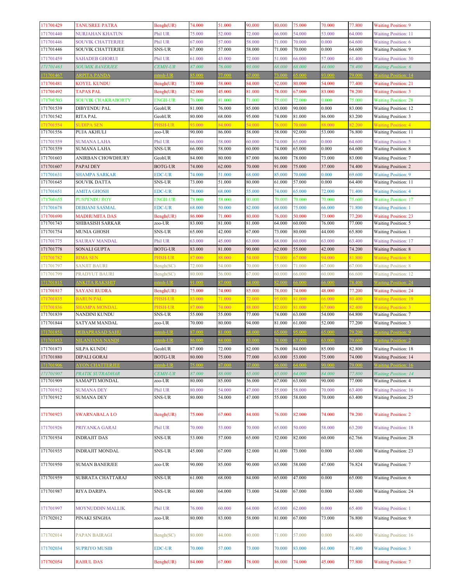| 171701429              | <b>TANUSREE PATRA</b>                     | Bengh(UR)                       | 74.000           | 51.000           | 90.000           | 80.000           | 75.000           | 70.000           | 77.800           | <b>Waiting Position: 9</b>                                 |
|------------------------|-------------------------------------------|---------------------------------|------------------|------------------|------------------|------------------|------------------|------------------|------------------|------------------------------------------------------------|
| 171701440              | NURJAHAN KHATUN                           | Phil UR                         | 75.000           | 52.000           | 72.000           | 66.000           | 54.000           | 53.000           | 64.000           | <b>Waiting Position: 11</b>                                |
| 171701446              | <b>SOUVIK CHATTERJEE</b>                  | Phil UR                         | 67.000           | 57.000           | 58.000           | 71.000           | 70.000           | 0.000            | 64.600           | <b>Waiting Position: 6</b>                                 |
| 171701446              | SOUVIK CHATTERJEE                         | <b>SNS-UR</b>                   | 67.000           | 57.000           | 58.000           | 71.000           | 70.000           | 0.000            | 64.600           | <b>Waiting Position: 9</b>                                 |
| 171701459              | <b>SAHADEB GHORUI</b>                     | Phil UR                         | 61.000           | 43.000           | 72.000           | 51.000           | 66.000           | 57.000           | 61.400           | <b>Waiting Position: 30</b>                                |
| 171701463              | <b>SOUMIK BANERJEE</b>                    | <b>CEMH-UR</b>                  | 87.000           | 76.000           | 93.000           | 68.000           | 68.000           | 44.000           | 78.400           | <b>Waiting Position: 6</b>                                 |
| 71701467               | <b>ARPITA PANDA</b>                       | $mh$ -I IR                      | 5 000            | 77.000           | 7.000            |                  | 5.000            | 3.000            | 79.000           |                                                            |
| 171701481              | KOYEL KUNDU                               | Bengh(UR)                       | 73.000           | 58.000           | 84.000           | 92.000           | 80.000           | 54.000           | 77.400           | <b>Waiting Position: 21</b>                                |
| 171701492              | <b>TAPAS PAL</b>                          | Bengh(UR)                       | 82.000           | 45.000           | 81.000           | 78.000           | 67.000           | 83.000           | 78.200           | <b>Waiting Position: 3</b>                                 |
| 171701503              | SOUVIK CHAKRABORTY                        | <b>ENGH-UR</b>                  | 76.000           | 81.000           | 71.000           | 75.000           | 72.000           | 0.000            | 75.000           | <b>Waiting Position: 28</b>                                |
| 171701539              | DIBYENDU PAL                              | GeohUR                          | 81.000           | 76.000           | 85.000           | 83.000           | 90.000           | 0.000            | 83.000           | <b>Waiting Position: 12</b>                                |
| 171701542              | <b>RITA PAL</b>                           | GeohUR                          | 80.000           | 68.000           | 95.000           | 74.000           | 81.000           | 86.000           | 83.200           | <b>Waiting Position: 3</b>                                 |
| 71701554               | SUDIPA SEN                                | PHSH-UR                         | 93.000           | 84.000           | 54.000           | 76.000           | 70.000           | 88.000           | 82.200           | <b>Waiting Position: 4</b>                                 |
| 171701556              | PUJA AKHULI                               | zoo-UR                          | 90.000           | 86.000           | 58.000           | 58.000           | 92.000           | 53.000           | 76.800           | <b>Waiting Position: 11</b>                                |
| 171701559<br>171701559 | <b>SUMANA LAHA</b><br>SUMANA LAHA         | Phil UR<br><b>SNS-UR</b>        | 66.000<br>66.000 | 58.000<br>58.000 | 60.000<br>60.000 | 74.000<br>74.000 | 65.000<br>65.000 | 0.000<br>0.000   | 64.600<br>64.600 | <b>Waiting Position: 5</b><br><b>Waiting Position: 8</b>   |
|                        |                                           |                                 |                  |                  |                  |                  |                  |                  |                  |                                                            |
| 171701603              | ANIRBAN CHOWDHURY                         | GeohUR                          | 84.000           | 80.000           | 87.000           | 86.000           | 78.000           | 73.000           | 83.000           | <b>Waiting Position: 7</b>                                 |
| 171701607<br>171701631 | PAPAI DEY<br><b>SHAMPA SARKAR</b>         | <b>BOTG-UR</b><br><b>EDC-UR</b> | 74.000<br>74.000 | 62.000<br>51.000 | 70.000<br>68.000 | 91.000<br>85.000 | 75.000<br>70.000 | 37.000<br>0.000  | 74.400<br>69.600 | <b>Waiting Position: 2</b><br><b>Waiting Position: 9</b>   |
| 171701645              | SOUVIK DATTA                              | SNS-UR                          | 73.000           | 51.000           | 80.000           | 61.000           | 57.000           | 0.000            | 64.400           | <b>Waiting Position: 11</b>                                |
| 171701651              | <b>AMITA GHOSH</b>                        | <b>EDC-UR</b>                   | 78.000           | 68.000           | 55.000           | 74.000           | 65.000           | 72.000           | 71.400           | <b>Waiting Position: 4</b>                                 |
| 171701655              | <b>PUSPENDU ROY</b>                       | <b>ENGH-UR</b>                  | 78.000           | 58.000           | 90.000           | 70.000           | 70.000           | 70.000           | 75.600           | <b>Waiting Position: 17</b>                                |
| 171701678              | <b>DEBJANI SASMAL</b>                     | <b>EDC-UR</b>                   | 68.000           | 50.000           | 82.000           | 68.000           | 75.000           | 66.000           | 71.800           | <b>Waiting Position: 1</b>                                 |
| 171701690              | <b>MADHUMITA DAS</b>                      | Bengh(UR)                       | 86.000           | 71.000           | 80.000           | 76.000           | 50.000           | 73.000           | 77.200           | <b>Waiting Position: 23</b>                                |
| 171701743              | SHIBASISH SARKAR                          | zoo-UR                          | 83.000           | 81.000           | 81.000           | 64.000           | 60.000           | 76.000           | 77.000           | <b>Waiting Position: 5</b>                                 |
| 171701754              | MUNIA GHOSH                               | <b>SNS-UR</b>                   | 65.000           | 42.000           | 67.000           | 73.000           | 80.000           | 44.000           | 65.800           | <b>Waiting Position: 1</b>                                 |
| 171701775              | SAURAV MANDAL                             | Phil UR                         | 63.000           | 45.000           | 63.000           | 68.000           | 60.000           | 63.000           | 63.400           | <b>Waiting Position: 17</b>                                |
| 171701778              | SONALI GUPTA                              | <b>BOTG-UR</b>                  | 83.000           | 81.000           | 90.000           | 62.000           | 55.000           | 42.000           | 74.200           | <b>Waiting Position: 8</b>                                 |
| 71701782               | <b>RIMA SEN</b>                           | PHSH-UR                         | 87.000           | 88.000           | 54.000           | 73.000           | 57.000           | 94.000           | 81.800           | <b>Waiting Position: 8</b>                                 |
| 171701797              | <b>SANJIT BAURI</b>                       | Bengh(SC)                       | 72.000           | 54.000           | 70.000           | 55.000           | 71.000           | 67.000           | 67.000           | <b>Waiting Position: 8</b>                                 |
| 171701799              | PRADYUT BAURI                             | Bengh(SC)                       | 80.000           | 56.000           | 67.000           | 60.000           | 66.000           | 60.000           | 66.600           | <b>Waiting Position: 12</b>                                |
| 71701815               | NKITA RAKSHIT                             | $mh-UR$                         | 1.000            | 37.000           | 4.000            |                  | 5.000            | 000 <sub>0</sub> | 78.400           | <b>Vaiting Position: 24</b>                                |
| 171701817              | SAYANI RUDRA                              | Bengh(UR)                       | 75.000           | 74.000           | 85.000           | 78.000           | 74.000           | 48.000           | 77.200           | <b>Waiting Position: 24</b>                                |
| 171701835              | <b>BARUN PAL</b>                          | PHSH-UR                         | 83.000           | 71.000           | 72.000           | 95.000           | 81.000           | 66.000           | 80.400           | <b>Waiting Position: 19</b>                                |
| 71701836               | SHAMPA MONDAL                             | PHSH-UR                         | 87.000           | 74.000           | 88.000           | 82.000           | 81.000           | 67.000           | 82.400           | <b>Waiting Position: 3</b>                                 |
| 171701839              | NANDINI KUNDU                             | SNS-UR                          | 55.000           | 55.000           | 77.000           | 74.000           | 63.000           | 54.000           | 64.800           | <b>Waiting Position: 7</b>                                 |
| 171701844              | SATYAM MANDAL                             | zoo-UR                          | 70.000           | 80.000           | 94.000           | 81.000           | 61.000           | 52.000           | 77.200           | <b>Waiting Position: 3</b>                                 |
| 171701851              | DEBAPRASAD SAHU                           | tmh-UR                          | 37.000           | 81.000           | 58.000           | 5.000            | 5.000            | 5.000            | 79.200           | <b>Waiting Position: 9</b>                                 |
| 71701853               | <b>NILANJANA NANDI</b>                    | $t$ mh-UR                       | 6.000            | 34.000           | 3.000            | 8.000            | 7.000            | 3.000            | 79.600           | <b>Vaiting Position: 2</b>                                 |
| 171701873              | <b>SILPA KUNDU</b>                        | GeohUR                          | 87.000           | 72.000           | 82.000           | 76.000           | 84.000           | 85.000           | 82.800           | Waiting Position: 18                                       |
| 171701880              | <b>DIPALI GORAI</b>                       | <b>BOTG-UR</b><br>$tmh-UR$      | 80.000           | 75.000           | 77.000           | 63.000           | 53.000           | 75.000           | 74.000           | <b>Waiting Position: 14</b>                                |
| 71701906<br>171701907  | <b>YON CHATTERJEE</b><br>PRATIK SUTRADHAR | <b>CEMH-UR</b>                  | 5.000<br>87.000  | 37.000<br>88.000 | 7.000<br>65.000  | 5.00(<br>65.000  | 4.000<br>64.000  | 0.000<br>84.000  | 79.000<br>77.800 | <b>Vaiting Position: 16</b><br><b>Waiting Position: 14</b> |
| 171701909              | SAMAPTI MONDAL                            | zoo-UR                          | 80.000           | 85.000           | 56.000           | 67.000           | 63.000           | 90.000           | 77.000           | <b>Waiting Position: 4</b>                                 |
| 171701912              | <b>SUMANA DEY</b>                         | Phil UR                         | 80.000           | 54.000           | 47.000           | 55.000           | 58.000           | 70.000           | 63.400           | <b>Waiting Position: 16</b>                                |
| 171701912              | <b>SUMANA DEY</b>                         | SNS-UR                          | 80.000           | 54.000           | 47.000           | 55.000           | 58.000           | 70.000           | 63.400           | Waiting Position: 25                                       |
|                        |                                           |                                 |                  |                  |                  |                  |                  |                  |                  |                                                            |
| 171701923              | <b>SWARNABALA LO</b>                      | Bengh(UR)                       | 75.000           | 67.000           | 84.000           | 76.000           | 82.000           | 74.000           | 78.200           | <b>Waiting Position: 2</b>                                 |
|                        |                                           |                                 |                  |                  |                  |                  |                  |                  |                  |                                                            |
| 171701926              | PRIYANKA GARAI                            | Phil UR                         | 70.000           | 53.000           | 70.000           | 65.000           | 50.000           | 58.000           | 63.200           | <b>Waiting Position: 18</b>                                |
| 171701934              | <b>INDRAJIT DAS</b>                       | SNS-UR                          | 53.000           | 57.000           | 65.000           | 52.000           | 82.000           | 60.000           | 62.766           | <b>Waiting Position: 28</b>                                |
| 171701935              | <b>INDRAJIT MONDAL</b>                    | SNS-UR                          | 45.000           | 67.000           | 52.000           | 81.000           | 73.000           | 0.000            | 63.600           | <b>Waiting Position: 23</b>                                |
|                        |                                           |                                 |                  |                  |                  |                  |                  |                  |                  |                                                            |
| 171701950              | <b>SUMAN BANERJEE</b>                     | zoo-UR                          | 90.000           | 85.000           | 90.000           | 65.000           | 58.000           | 47.000           | 76.824           | <b>Waiting Position: 7</b>                                 |
| 171701959              | SUBRATA CHATTARAJ                         | SNS-UR                          | 61.000           | 68.000           | 84.000           | 65.000           | 47.000           | 0.000            | 65.000           | Waiting Position: 6                                        |
|                        |                                           |                                 |                  |                  |                  |                  |                  |                  |                  |                                                            |
| 171701987              | RIYA DARIPA                               | SNS-UR                          | 60.000           | 64.000           | 73.000           | 54.000           | 67.000           | 0.000            | 63.600           | <b>Waiting Position: 24</b>                                |
|                        |                                           |                                 |                  |                  |                  |                  |                  |                  |                  |                                                            |
| 171701997              | MOYNUDDIN MALLIK                          | Phil UR                         | 76.000           | 60.000           | 64.000           | 65.000           | 62.000           | 0.000            | 65.400           | <b>Waiting Position: 1</b>                                 |
| 171702012              | PINAKI SINGHA                             | zoo-UR                          | 80.000           | 83.000           | 58.000           | 81.000           | 67.000           | 73.000           | 76.800           | <b>Waiting Position: 9</b>                                 |
|                        |                                           |                                 |                  |                  |                  |                  |                  |                  |                  |                                                            |
| 171702014              | PAPAN BAIRAGI                             | Bengh(SC)                       | 80.000           | 44.000           | 80.000           | 71.000           | 57.000           | 0.000            | 66.400           | <b>Waiting Position: 16</b>                                |
|                        |                                           |                                 |                  |                  |                  |                  |                  |                  |                  |                                                            |
| 171702034              | <b>SUPRIYO MUSIB</b>                      | <b>EDC-UR</b>                   | 70.000           | 57.000           | 73.000           | 70.000           | 83.000           | 61.000           | 71.400           | <b>Waiting Position: 3</b>                                 |
| 171702054              | <b>RAHUL DAS</b>                          | Bengh(UR)                       | 84.000           | 67.000           | 78.000           | 86.000           | 74.000           | 45.000           | 77.800           | <b>Waiting Position: 7</b>                                 |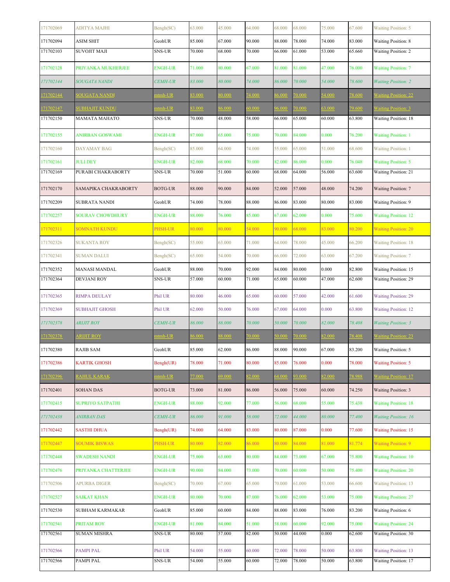| 171702069 | <b>ADITYA MAJHI</b>     | Bengh(SC)      | 63.000 | 45.000 | 64.000 | 68.000 | 68.000 | 75.000 | 67.600 | <b>Waiting Position: 5</b>  |
|-----------|-------------------------|----------------|--------|--------|--------|--------|--------|--------|--------|-----------------------------|
| 171702094 | <b>ASIM SHIT</b>        | GeohUR         | 85.000 | 67.000 | 90.000 | 88.000 | 78.000 | 74.000 | 83.000 | Waiting Position: 8         |
| 171702103 | <b>SUVOJIT MAJI</b>     | SNS-UR         | 70.000 | 68.000 | 70.000 | 66.000 | 61.000 | 53.000 | 65.660 | <b>Waiting Position: 2</b>  |
| 171702128 | PRIYANKA MUKHERJEE      | <b>ENGH-UR</b> | 71.000 | 80.000 | 67.000 | 81.000 | 81.000 | 47.000 | 76.000 | <b>Waiting Position: 7</b>  |
| 171702144 | <b>SOUGATA NANDI</b>    | <b>CEMH-UR</b> | 83.000 | 80.000 | 74.000 | 86.000 | 70.000 | 54.000 | 78.600 | <b>Waiting Position: 2</b>  |
| 71702144  | <b>SOUGATA NANDI</b>    | $tmh-UR$       | 3.000  | 0.0001 | 74.000 | 6.000  | 70.000 | 4.000  | 78.600 | Vaiting Position: 22        |
| 71702147  | <b>UBHAJIT KUNDU</b>    | $tmh-UR$       | 3.000  | 6.000  | 0.000  | 6.000  | 70.000 | 63.000 | 9.600  | Vaiting Position: 3         |
| 171702150 | MAMATA MAHATO           | SNS-UR         | 70.000 | 48.000 | 58.000 | 66.000 | 65.000 | 60.000 | 63.800 | Waiting Position: 18        |
| 171702155 | ANIRBAN GOSWAMI         | <b>ENGH-UR</b> | 87.000 | 65.000 | 75.000 | 70.000 | 84.000 | 0.000  | 76.200 | <b>Waiting Position: 1</b>  |
| 171702160 | DAYAMAY BAG             | Bengh(SC)      | 85.000 | 64.000 | 74.000 | 55.000 | 65.000 | 51.000 | 68.600 | <b>Waiting Position: 1</b>  |
| 171702161 | <b>JULI DEY</b>         | <b>ENGH-UR</b> | 82.000 | 68.000 | 70.000 | 82.000 | 86.000 | 0.000  | 76.048 | <b>Waiting Position: 5</b>  |
| 171702169 | PURABI CHAKRABORTY      | SNS-UR         | 70.000 | 51.000 | 60.000 | 68.000 | 64.000 | 56.000 | 63.600 | Waiting Position: 21        |
| 171702170 | SAMAPIKA CHAKRABORTY    | <b>BOTG-UR</b> | 88.000 | 90.000 | 84.000 | 52.000 | 57.000 | 48.000 | 74.200 | <b>Waiting Position: 7</b>  |
| 171702209 | SUBRATA NANDI           | GeohUR         | 74.000 | 78.000 | 88.000 | 86.000 | 83.000 | 80.000 | 83.000 | Waiting Position: 9         |
| 171702257 | <b>SOURAV CHOWDHURY</b> | <b>ENGH-UR</b> | 88.000 | 76.000 | 85.000 | 67.000 | 62.000 | 0.000  | 75.600 | <b>Waiting Position: 12</b> |
| 171702311 | <b>SOMNATH KUNDU</b>    | PHSH-UR        | 80.000 | 80.000 | 54.000 | 90.000 | 68.000 | 83.000 | 80.200 | <b>Waiting Position: 20</b> |
| 171702326 | <b>SUKANTA ROY</b>      | Bengh(SC)      | 55.000 | 63.000 | 71.000 | 64.000 | 78.000 | 45.000 | 66.200 | <b>Waiting Position: 18</b> |
| 171702341 | <b>SUMAN DALUI</b>      | Bengh(SC)      | 65.000 | 54.000 | 70.000 | 66.000 | 72.000 | 63.000 | 67.200 | <b>Waiting Position: 7</b>  |
| 171702352 | MANASI MANDAL           | GeohUR         | 88.000 | 70.000 | 92.000 | 84.000 | 80.000 | 0.000  | 82.800 | Waiting Position: 15        |
| 171702364 | <b>DEVJANI ROY</b>      | SNS-UR         | 57.000 | 60.000 | 71.000 | 65.000 | 60.000 | 47.000 | 62.600 | Waiting Position: 29        |
| 171702365 | <b>RIMPA DEULAY</b>     | Phil UR        | 80.000 | 46.000 | 65.000 | 60.000 | 57.000 | 42.000 | 61.600 | <b>Waiting Position: 29</b> |
| 171702369 | <b>SUBHAJIT GHOSH</b>   | Phil UR        | 62.000 | 50.000 | 76.000 | 67.000 | 64.000 | 0.000  | 63.800 | <b>Waiting Position: 12</b> |
| 171702378 | <b>ARIJIT ROY</b>       | <b>CEMH-UR</b> | 86.000 | 88.000 | 70.000 | 50.000 | 70.000 | 82.000 | 78.408 | <b>Waiting Position: 3</b>  |
| 71702378  | <b>ARIJIT ROY</b>       | atmh-UR        | 6.000  | 8.000  | 70.000 | 0.000  | 70.000 | 32.000 | 78.408 | <b>Vaiting Position: 23</b> |
| 171702380 | <b>RAJIB SAM</b>        | GeohUR         | 85.000 | 62.000 | 86.000 | 88.000 | 90.000 | 67.000 | 83.200 | Waiting Position: 5         |
| 171702386 | KARTIK GHOSH            | Bengh(UR)      | 78.000 | 71.000 | 80.000 | 85.000 | 76.000 | 0.000  | 78.000 | <b>Waiting Position: 5</b>  |
| 171702396 | <b>RAHUL KARAK</b>      | ntmh-UR        | 77.000 | 59.000 | 2.000  | 4.000  | 93.000 | 82.000 | 78.988 | <b>Waiting Position: 17</b> |
| 171702401 | <b>SOHAN DAS</b>        | <b>BOTG-UR</b> | 73.000 | 81.000 | 86.000 | 56.000 | 75.000 | 60.000 | 74.250 | Waiting Position: 3         |
| 171702415 | <b>SUPRIYO SATPATHI</b> | <b>ENGH-UR</b> | 88.000 | 92.000 | 77.000 | 56.000 | 68.000 | 55.000 | 75.438 | <b>Waiting Position: 18</b> |
| 171702438 | <i>ANIRBAN DAS</i>      | <b>CEMH-UR</b> | 86.000 | 91.000 | 58.000 | 72.000 | 44.000 | 80.000 | 77.400 | <b>Waiting Position: 16</b> |
| 171702442 | <b>SASTHI DHUA</b>      | Bengh(UR)      | 74.000 | 64.000 | 83.000 | 80.000 | 87.000 | 0.000  | 77.600 | <b>Waiting Position: 15</b> |
| 171702447 | <b>SOUMIK BISWAS</b>    | PHSH-UR        | 80.000 | 82.000 | 86.000 | 80.000 | 84.000 | 81.000 | 81.774 | Waiting Position: 9         |
| 171702448 | <b>SWADESH NANDI</b>    | <b>ENGH-UR</b> | 75.000 | 63.000 | 80.000 | 84.000 | 73.000 | 67.000 | 75.800 | <b>Waiting Position: 10</b> |
| 171702476 | PRIYANKA CHATTERJEE     | <b>ENGH-UR</b> | 90.000 | 84.000 | 73.000 | 70.000 | 60.000 | 50.000 | 75.400 | <b>Waiting Position: 20</b> |
| 171702506 | <b>APURBA DIGER</b>     | Bengh(SC)      | 70.000 | 67.000 | 65.000 | 70.000 | 61.000 | 53.000 | 66.600 | <b>Waiting Position: 13</b> |
| 171702527 | <b>SAIKAT KHAN</b>      | <b>ENGH-UR</b> | 80.000 | 70.000 | 87.000 | 76.000 | 62.000 | 53.000 | 75.000 | <b>Waiting Position: 27</b> |
| 171702530 | SUBHAM KARMAKAR         | GeohUR         | 85.000 | 60.000 | 84.000 | 88.000 | 83.000 | 76.000 | 83.200 | <b>Waiting Position: 6</b>  |
| 171702541 | PRITAM ROY              | <b>ENGH-UR</b> | 81.000 | 84.000 | 51.000 | 58.000 | 60.000 | 92.000 | 75.000 | <b>Waiting Position: 24</b> |
| 171702561 | <b>SUMAN MISHRA</b>     | SNS-UR         | 80.000 | 57.000 | 82.000 | 50.000 | 44.000 | 0.000  | 62.600 | <b>Waiting Position: 30</b> |
| 171702566 | PAMPI PAL               | Phil UR        | 54.000 | 55.000 | 60.000 | 72.000 | 78.000 | 50.000 | 63.800 | <b>Waiting Position: 13</b> |
| 171702566 | PAMPI PAL               | SNS-UR         | 54.000 | 55.000 | 60.000 | 72.000 | 78.000 | 50.000 | 63.800 | <b>Waiting Position: 17</b> |